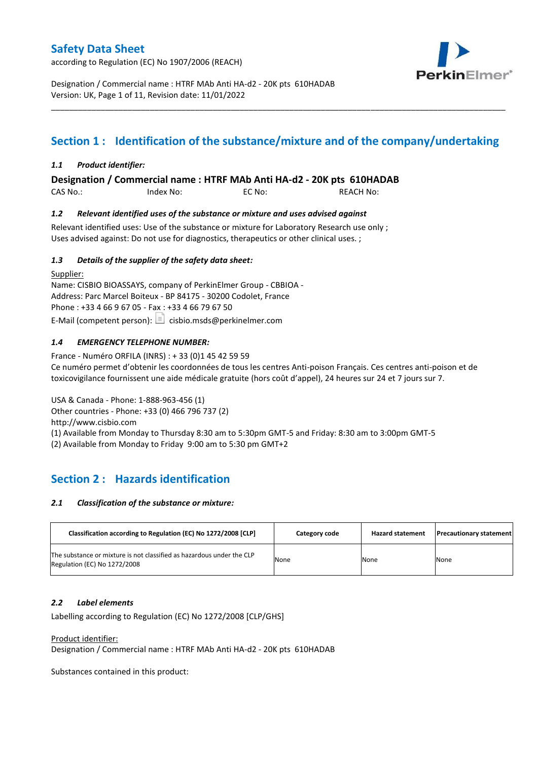according to Regulation (EC) No 1907/2006 (REACH)



Designation / Commercial name : HTRF MAb Anti HA-d2 - 20K pts 610HADAB Version: UK, Page 1 of 11, Revision date: 11/01/2022

# **Section 1 : Identification of the substance/mixture and of the company/undertaking**

\_\_\_\_\_\_\_\_\_\_\_\_\_\_\_\_\_\_\_\_\_\_\_\_\_\_\_\_\_\_\_\_\_\_\_\_\_\_\_\_\_\_\_\_\_\_\_\_\_\_\_\_\_\_\_\_\_\_\_\_\_\_\_\_\_\_\_\_\_\_\_\_\_\_\_\_\_\_\_\_\_\_\_\_\_\_\_\_\_\_\_\_\_\_\_\_\_\_\_\_\_

### *1.1 Product identifier:*

**Designation / Commercial name : HTRF MAb Anti HA-d2 - 20K pts 610HADAB** 

CAS No.: Index No: EC No: REACH No:

### *1.2 Relevant identified uses of the substance or mixture and uses advised against*

Relevant identified uses: Use of the substance or mixture for Laboratory Research use only ; Uses advised against: Do not use for diagnostics, therapeutics or other clinical uses. ;

### *1.3 Details of the supplier of the safety data sheet:*

Supplier: Name: CISBIO BIOASSAYS, company of PerkinElmer Group - CBBIOA - Address: Parc Marcel Boiteux - BP 84175 - 30200 Codolet, France Phone : +33 4 66 9 67 05 - Fax : +33 4 66 79 67 50 E-Mail (competent person):  $\boxed{\equiv}$  cisbio.msds@perkinelmer.com

### *1.4 EMERGENCY TELEPHONE NUMBER:*

France - Numéro ORFILA (INRS) : + 33 (0)1 45 42 59 59 Ce numéro permet d'obtenir les coordonnées de tous les centres Anti-poison Français. Ces centres anti-poison et de toxicovigilance fournissent une aide médicale gratuite (hors coût d'appel), 24 heures sur 24 et 7 jours sur 7.

USA & Canada - Phone: 1-888-963-456 (1) Other countries - Phone: +33 (0) 466 796 737 (2)

http://www.cisbio.com

(1) Available from Monday to Thursday 8:30 am to 5:30pm GMT-5 and Friday: 8:30 am to 3:00pm GMT-5

(2) Available from Monday to Friday 9:00 am to 5:30 pm GMT+2

# **Section 2 : Hazards identification**

### *2.1 Classification of the substance or mixture:*

| Classification according to Regulation (EC) No 1272/2008 [CLP]                                        | Category code | <b>Hazard statement</b> | <b>Precautionary statement</b> |
|-------------------------------------------------------------------------------------------------------|---------------|-------------------------|--------------------------------|
| The substance or mixture is not classified as hazardous under the CLP<br>Regulation (EC) No 1272/2008 | None          | None                    | None                           |

### *2.2 Label elements*

Labelling according to Regulation (EC) No 1272/2008 [CLP/GHS]

Product identifier:

Designation / Commercial name : HTRF MAb Anti HA-d2 - 20K pts 610HADAB

Substances contained in this product: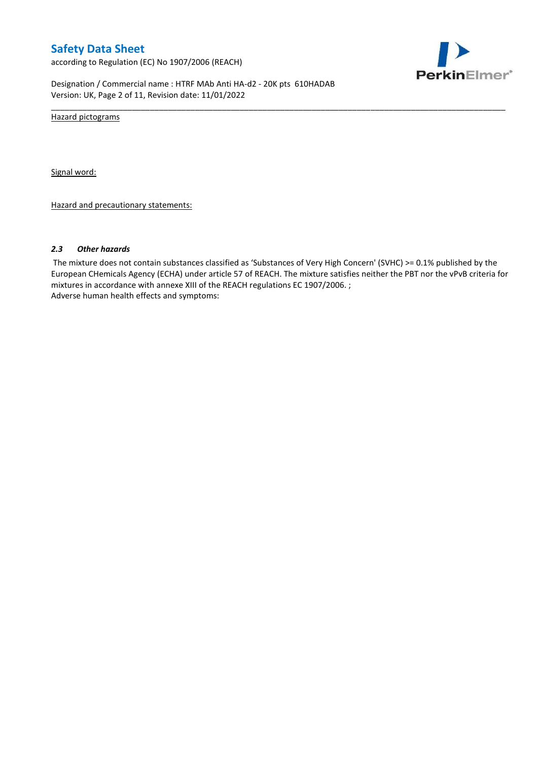according to Regulation (EC) No 1907/2006 (REACH)



Designation / Commercial name : HTRF MAb Anti HA-d2 - 20K pts 610HADAB Version: UK, Page 2 of 11, Revision date: 11/01/2022

Hazard pictograms

Signal word:

Hazard and precautionary statements:

#### *2.3 Other hazards*

The mixture does not contain substances classified as 'Substances of Very High Concern' (SVHC) >= 0.1% published by the European CHemicals Agency (ECHA) under article 57 of REACH. The mixture satisfies neither the PBT nor the vPvB criteria for mixtures in accordance with annexe XIII of the REACH regulations EC 1907/2006. ; Adverse human health effects and symptoms:

\_\_\_\_\_\_\_\_\_\_\_\_\_\_\_\_\_\_\_\_\_\_\_\_\_\_\_\_\_\_\_\_\_\_\_\_\_\_\_\_\_\_\_\_\_\_\_\_\_\_\_\_\_\_\_\_\_\_\_\_\_\_\_\_\_\_\_\_\_\_\_\_\_\_\_\_\_\_\_\_\_\_\_\_\_\_\_\_\_\_\_\_\_\_\_\_\_\_\_\_\_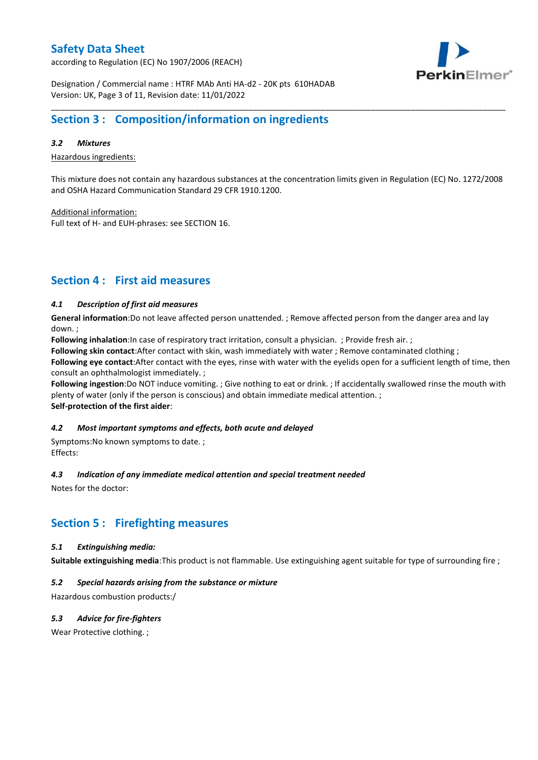according to Regulation (EC) No 1907/2006 (REACH)



Designation / Commercial name : HTRF MAb Anti HA-d2 - 20K pts 610HADAB Version: UK, Page 3 of 11, Revision date: 11/01/2022

# **Section 3 : Composition/information on ingredients**

### *3.2 Mixtures*

Hazardous ingredients:

This mixture does not contain any hazardous substances at the concentration limits given in Regulation (EC) No. 1272/2008 and OSHA Hazard Communication Standard 29 CFR 1910.1200.

\_\_\_\_\_\_\_\_\_\_\_\_\_\_\_\_\_\_\_\_\_\_\_\_\_\_\_\_\_\_\_\_\_\_\_\_\_\_\_\_\_\_\_\_\_\_\_\_\_\_\_\_\_\_\_\_\_\_\_\_\_\_\_\_\_\_\_\_\_\_\_\_\_\_\_\_\_\_\_\_\_\_\_\_\_\_\_\_\_\_\_\_\_\_\_\_\_\_\_\_\_

Additional information:

Full text of H- and EUH-phrases: see SECTION 16.

# **Section 4 : First aid measures**

### *4.1 Description of first aid measures*

**General information**:Do not leave affected person unattended. ; Remove affected person from the danger area and lay down. ;

**Following inhalation**:In case of respiratory tract irritation, consult a physician. ; Provide fresh air. ;

**Following skin contact**:After contact with skin, wash immediately with water ; Remove contaminated clothing ;

**Following eye contact**:After contact with the eyes, rinse with water with the eyelids open for a sufficient length of time, then consult an ophthalmologist immediately. ;

**Following ingestion**:Do NOT induce vomiting. ; Give nothing to eat or drink. ; If accidentally swallowed rinse the mouth with plenty of water (only if the person is conscious) and obtain immediate medical attention. ; **Self-protection of the first aider**:

### *4.2 Most important symptoms and effects, both acute and delayed*

Symptoms:No known symptoms to date. ; Effects:

### *4.3 Indication of any immediate medical attention and special treatment needed*

Notes for the doctor:

### **Section 5 : Firefighting measures**

### *5.1 Extinguishing media:*

**Suitable extinguishing media**:This product is not flammable. Use extinguishing agent suitable for type of surrounding fire ;

### *5.2 Special hazards arising from the substance or mixture*

Hazardous combustion products:/

### *5.3 Advice for fire-fighters*

Wear Protective clothing.;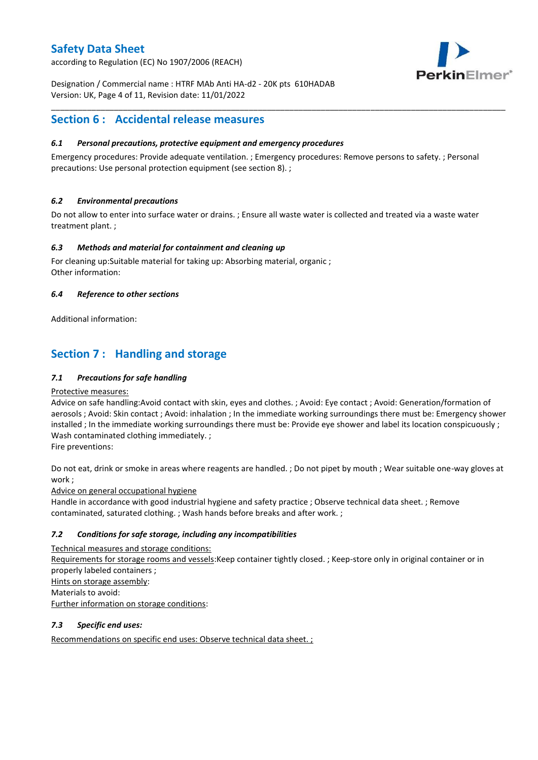according to Regulation (EC) No 1907/2006 (REACH)



Designation / Commercial name : HTRF MAb Anti HA-d2 - 20K pts 610HADAB Version: UK, Page 4 of 11, Revision date: 11/01/2022

# **Section 6 : Accidental release measures**

### *6.1 Personal precautions, protective equipment and emergency procedures*

Emergency procedures: Provide adequate ventilation. ; Emergency procedures: Remove persons to safety. ; Personal precautions: Use personal protection equipment (see section 8). ;

\_\_\_\_\_\_\_\_\_\_\_\_\_\_\_\_\_\_\_\_\_\_\_\_\_\_\_\_\_\_\_\_\_\_\_\_\_\_\_\_\_\_\_\_\_\_\_\_\_\_\_\_\_\_\_\_\_\_\_\_\_\_\_\_\_\_\_\_\_\_\_\_\_\_\_\_\_\_\_\_\_\_\_\_\_\_\_\_\_\_\_\_\_\_\_\_\_\_\_\_\_

### *6.2 Environmental precautions*

Do not allow to enter into surface water or drains. ; Ensure all waste water is collected and treated via a waste water treatment plant. ;

### *6.3 Methods and material for containment and cleaning up*

For cleaning up:Suitable material for taking up: Absorbing material, organic ; Other information:

### *6.4 Reference to other sections*

Additional information:

# **Section 7 : Handling and storage**

### *7.1 Precautions for safe handling*

### Protective measures:

Advice on safe handling:Avoid contact with skin, eyes and clothes. ; Avoid: Eye contact ; Avoid: Generation/formation of aerosols ; Avoid: Skin contact ; Avoid: inhalation ; In the immediate working surroundings there must be: Emergency shower installed ; In the immediate working surroundings there must be: Provide eye shower and label its location conspicuously ; Wash contaminated clothing immediately. ;

Fire preventions:

Do not eat, drink or smoke in areas where reagents are handled. ; Do not pipet by mouth ; Wear suitable one-way gloves at work ;

Advice on general occupational hygiene

Handle in accordance with good industrial hygiene and safety practice ; Observe technical data sheet. ; Remove contaminated, saturated clothing. ; Wash hands before breaks and after work. ;

### *7.2 Conditions for safe storage, including any incompatibilities*

Technical measures and storage conditions: Requirements for storage rooms and vessels:Keep container tightly closed. ; Keep-store only in original container or in properly labeled containers ; Hints on storage assembly: Materials to avoid: Further information on storage conditions:

### *7.3 Specific end uses:*

Recommendations on specific end uses: Observe technical data sheet. ;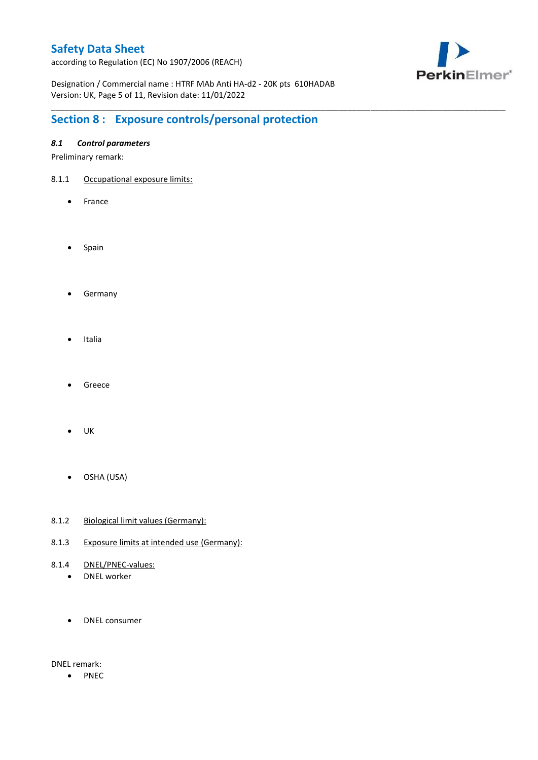according to Regulation (EC) No 1907/2006 (REACH)



Designation / Commercial name : HTRF MAb Anti HA-d2 - 20K pts 610HADAB Version: UK, Page 5 of 11, Revision date: 11/01/2022

\_\_\_\_\_\_\_\_\_\_\_\_\_\_\_\_\_\_\_\_\_\_\_\_\_\_\_\_\_\_\_\_\_\_\_\_\_\_\_\_\_\_\_\_\_\_\_\_\_\_\_\_\_\_\_\_\_\_\_\_\_\_\_\_\_\_\_\_\_\_\_\_\_\_\_\_\_\_\_\_\_\_\_\_\_\_\_\_\_\_\_\_\_\_\_\_\_\_\_\_\_

# **Section 8 : Exposure controls/personal protection**

### *8.1 Control parameters*

Preliminary remark:

- 8.1.1 Occupational exposure limits:
	- France
	- Spain
	- **•** Germany
	- Italia
	- Greece
	- $\bullet$  UK
	- OSHA (USA)
- 8.1.2 Biological limit values (Germany):
- 8.1.3 Exposure limits at intended use (Germany):
- 8.1.4 DNEL/PNEC-values:
	- DNEL worker
	- DNEL consumer

DNEL remark:

• PNEC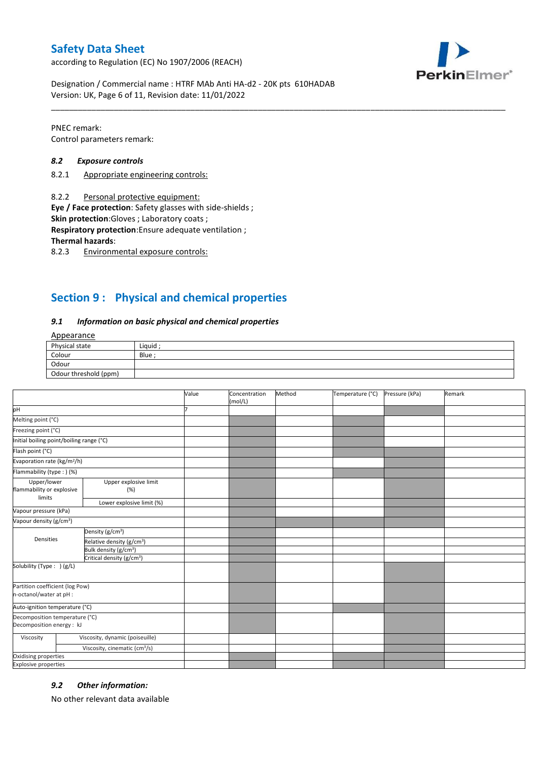according to Regulation (EC) No 1907/2006 (REACH)



Designation / Commercial name : HTRF MAb Anti HA-d2 - 20K pts 610HADAB Version: UK, Page 6 of 11, Revision date: 11/01/2022

PNEC remark: Control parameters remark:

### *8.2 Exposure controls*

- 8.2.1 Appropriate engineering controls:
- 8.2.2 Personal protective equipment:

**Eye / Face protection**: Safety glasses with side-shields ;

**Skin protection**:Gloves ; Laboratory coats ;

**Respiratory protection**:Ensure adequate ventilation ;

**Thermal hazards**:

8.2.3 Environmental exposure controls:

# **Section 9 : Physical and chemical properties**

#### *9.1 Information on basic physical and chemical properties*

### Appearance

| Physical state        | Liquid |
|-----------------------|--------|
| Colour                | Blue   |
| Odour                 |        |
| Odour threshold (ppm) |        |

\_\_\_\_\_\_\_\_\_\_\_\_\_\_\_\_\_\_\_\_\_\_\_\_\_\_\_\_\_\_\_\_\_\_\_\_\_\_\_\_\_\_\_\_\_\_\_\_\_\_\_\_\_\_\_\_\_\_\_\_\_\_\_\_\_\_\_\_\_\_\_\_\_\_\_\_\_\_\_\_\_\_\_\_\_\_\_\_\_\_\_\_\_\_\_\_\_\_\_\_\_

|                                                             |                                           | Value | Concentration<br>(mol/L) | Method | Temperature (°C) | Pressure (kPa) | Remark |
|-------------------------------------------------------------|-------------------------------------------|-------|--------------------------|--------|------------------|----------------|--------|
| pH                                                          |                                           |       |                          |        |                  |                |        |
| Melting point (°C)                                          |                                           |       |                          |        |                  |                |        |
| Freezing point (°C)                                         |                                           |       |                          |        |                  |                |        |
| Initial boiling point/boiling range (°C)                    |                                           |       |                          |        |                  |                |        |
| Flash point (°C)                                            |                                           |       |                          |        |                  |                |        |
| Evaporation rate (kg/m <sup>2</sup> /h)                     |                                           |       |                          |        |                  |                |        |
| Flammability (type:) (%)                                    |                                           |       |                          |        |                  |                |        |
| Upper/lower<br>flammability or explosive                    | Upper explosive limit<br>(%)              |       |                          |        |                  |                |        |
| limits                                                      | Lower explosive limit (%)                 |       |                          |        |                  |                |        |
| Vapour pressure (kPa)                                       |                                           |       |                          |        |                  |                |        |
| Vapour density (g/cm <sup>3</sup> )                         |                                           |       |                          |        |                  |                |        |
| Densities                                                   | Density (g/cm <sup>3</sup> )              |       |                          |        |                  |                |        |
|                                                             | Relative density (g/cm <sup>3</sup> )     |       |                          |        |                  |                |        |
|                                                             | Bulk density (g/cm <sup>3</sup> )         |       |                          |        |                  |                |        |
|                                                             | Critical density (g/cm <sup>3</sup> )     |       |                          |        |                  |                |        |
| Solubility (Type: ) (g/L)                                   |                                           |       |                          |        |                  |                |        |
| Partition coefficient (log Pow)<br>n-octanol/water at pH :  |                                           |       |                          |        |                  |                |        |
| Auto-ignition temperature (°C)                              |                                           |       |                          |        |                  |                |        |
| Decomposition temperature (°C)<br>Decomposition energy : kJ |                                           |       |                          |        |                  |                |        |
| Viscosity                                                   | Viscosity, dynamic (poiseuille)           |       |                          |        |                  |                |        |
|                                                             | Viscosity, cinematic (cm <sup>3</sup> /s) |       |                          |        |                  |                |        |
| Oxidising properties                                        |                                           |       |                          |        |                  |                |        |
| <b>Explosive properties</b>                                 |                                           |       |                          |        |                  |                |        |

### *9.2 Other information:*

No other relevant data available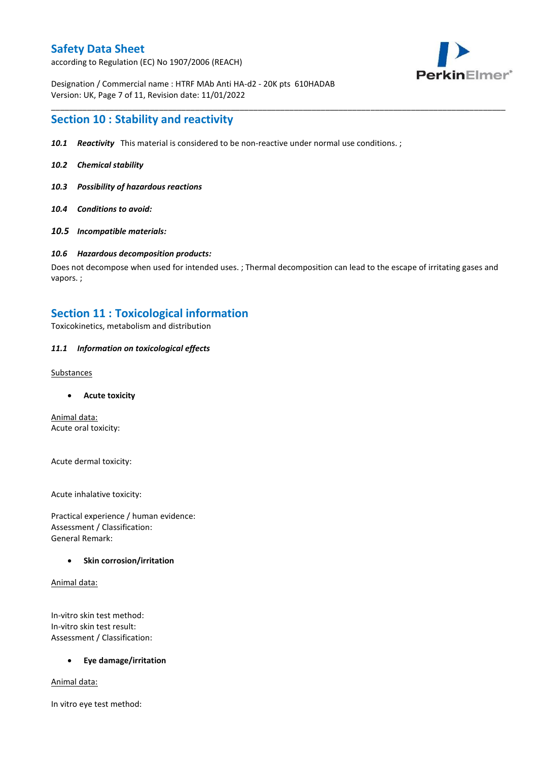according to Regulation (EC) No 1907/2006 (REACH)



Designation / Commercial name : HTRF MAb Anti HA-d2 - 20K pts 610HADAB Version: UK, Page 7 of 11, Revision date: 11/01/2022

### **Section 10 : Stability and reactivity**

- *10.1 Reactivity* This material is considered to be non-reactive under normal use conditions. ;
- *10.2 Chemical stability*
- *10.3 Possibility of hazardous reactions*
- *10.4 Conditions to avoid:*
- *10.5 Incompatible materials:*

#### *10.6 Hazardous decomposition products:*

Does not decompose when used for intended uses. ; Thermal decomposition can lead to the escape of irritating gases and vapors. ;

\_\_\_\_\_\_\_\_\_\_\_\_\_\_\_\_\_\_\_\_\_\_\_\_\_\_\_\_\_\_\_\_\_\_\_\_\_\_\_\_\_\_\_\_\_\_\_\_\_\_\_\_\_\_\_\_\_\_\_\_\_\_\_\_\_\_\_\_\_\_\_\_\_\_\_\_\_\_\_\_\_\_\_\_\_\_\_\_\_\_\_\_\_\_\_\_\_\_\_\_\_

### **Section 11 : Toxicological information**

Toxicokinetics, metabolism and distribution

### *11.1 Information on toxicological effects*

#### **Substances**

**Acute toxicity**

Animal data: Acute oral toxicity:

Acute dermal toxicity:

Acute inhalative toxicity:

Practical experience / human evidence: Assessment / Classification: General Remark:

### **Skin corrosion/irritation**

Animal data:

In-vitro skin test method: In-vitro skin test result: Assessment / Classification:

### **Eye damage/irritation**

Animal data:

In vitro eye test method: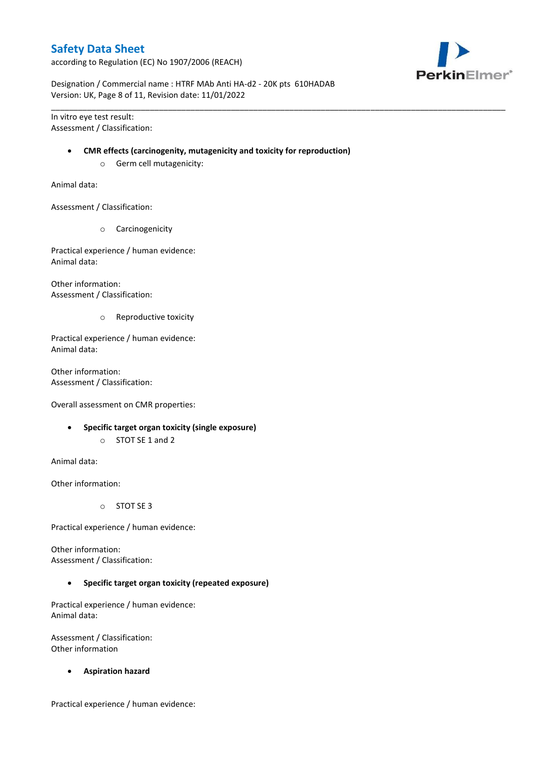according to Regulation (EC) No 1907/2006 (REACH)



Designation / Commercial name : HTRF MAb Anti HA-d2 - 20K pts 610HADAB Version: UK, Page 8 of 11, Revision date: 11/01/2022

In vitro eye test result: Assessment / Classification:

#### **CMR effects (carcinogenity, mutagenicity and toxicity for reproduction)**

\_\_\_\_\_\_\_\_\_\_\_\_\_\_\_\_\_\_\_\_\_\_\_\_\_\_\_\_\_\_\_\_\_\_\_\_\_\_\_\_\_\_\_\_\_\_\_\_\_\_\_\_\_\_\_\_\_\_\_\_\_\_\_\_\_\_\_\_\_\_\_\_\_\_\_\_\_\_\_\_\_\_\_\_\_\_\_\_\_\_\_\_\_\_\_\_\_\_\_\_\_

o Germ cell mutagenicity:

Animal data:

Assessment / Classification:

o Carcinogenicity

Practical experience / human evidence: Animal data:

Other information: Assessment / Classification:

o Reproductive toxicity

Practical experience / human evidence: Animal data:

Other information: Assessment / Classification:

Overall assessment on CMR properties:

- **Specific target organ toxicity (single exposure)**
	- o STOT SE 1 and 2

Animal data:

Other information:

o STOT SE 3

Practical experience / human evidence:

Other information: Assessment / Classification:

**Specific target organ toxicity (repeated exposure)**

Practical experience / human evidence: Animal data:

Assessment / Classification: Other information

**Aspiration hazard**

Practical experience / human evidence: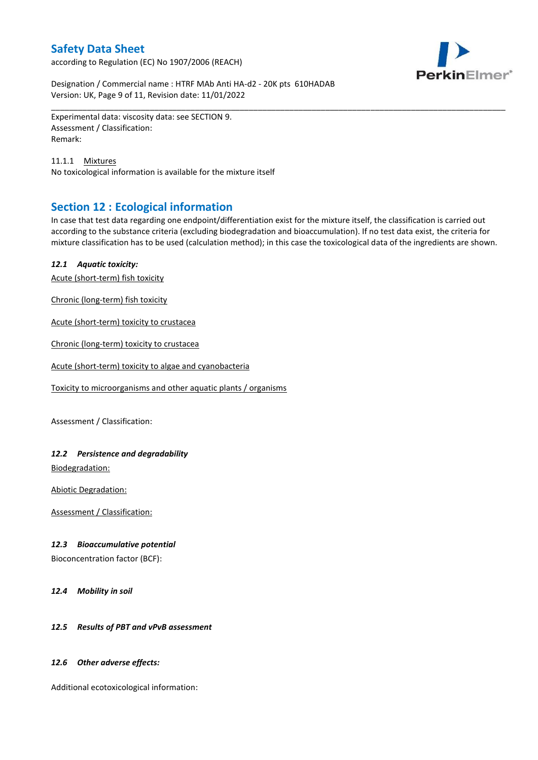according to Regulation (EC) No 1907/2006 (REACH)



Designation / Commercial name : HTRF MAb Anti HA-d2 - 20K pts 610HADAB Version: UK, Page 9 of 11, Revision date: 11/01/2022

Experimental data: viscosity data: see SECTION 9. Assessment / Classification: Remark:

11.1.1 Mixtures No toxicological information is available for the mixture itself

# **Section 12 : Ecological information**

In case that test data regarding one endpoint/differentiation exist for the mixture itself, the classification is carried out according to the substance criteria (excluding biodegradation and bioaccumulation). If no test data exist, the criteria for mixture classification has to be used (calculation method); in this case the toxicological data of the ingredients are shown.

\_\_\_\_\_\_\_\_\_\_\_\_\_\_\_\_\_\_\_\_\_\_\_\_\_\_\_\_\_\_\_\_\_\_\_\_\_\_\_\_\_\_\_\_\_\_\_\_\_\_\_\_\_\_\_\_\_\_\_\_\_\_\_\_\_\_\_\_\_\_\_\_\_\_\_\_\_\_\_\_\_\_\_\_\_\_\_\_\_\_\_\_\_\_\_\_\_\_\_\_\_

### *12.1 Aquatic toxicity:*

Acute (short-term) fish toxicity

Chronic (long-term) fish toxicity

Acute (short-term) toxicity to crustacea

Chronic (long-term) toxicity to crustacea

Acute (short-term) toxicity to algae and cyanobacteria

Toxicity to microorganisms and other aquatic plants / organisms

Assessment / Classification:

### *12.2 Persistence and degradability*

Biodegradation:

Abiotic Degradation:

Assessment / Classification:

### *12.3 Bioaccumulative potential*

Bioconcentration factor (BCF):

*12.4 Mobility in soil*

### *12.5 Results of PBT and vPvB assessment*

### *12.6 Other adverse effects:*

Additional ecotoxicological information: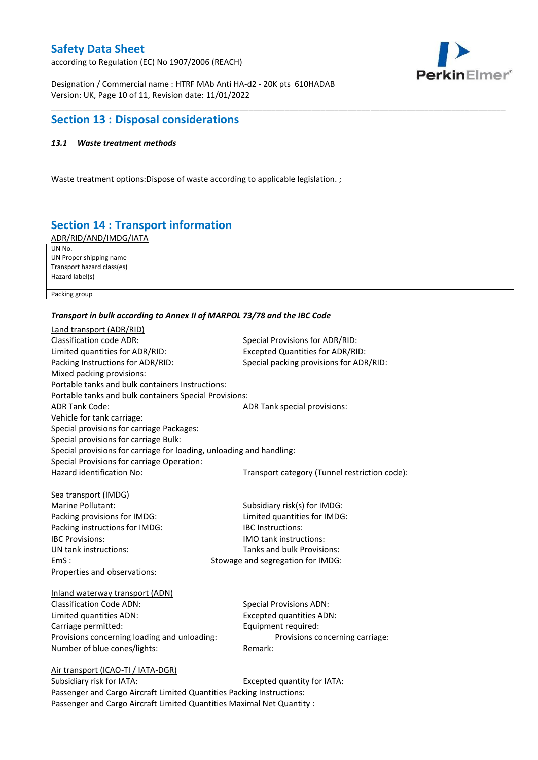according to Regulation (EC) No 1907/2006 (REACH)



Designation / Commercial name : HTRF MAb Anti HA-d2 - 20K pts 610HADAB Version: UK, Page 10 of 11, Revision date: 11/01/2022

# **Section 13 : Disposal considerations**

### *13.1 Waste treatment methods*

Waste treatment options:Dispose of waste according to applicable legislation. ;

# **Section 14 : Transport information**

ADR/RID/AND/IMDG/IATA

| UN No.                     |  |
|----------------------------|--|
| UN Proper shipping name    |  |
| Transport hazard class(es) |  |
| Hazard label(s)            |  |
|                            |  |
| Packing group              |  |

\_\_\_\_\_\_\_\_\_\_\_\_\_\_\_\_\_\_\_\_\_\_\_\_\_\_\_\_\_\_\_\_\_\_\_\_\_\_\_\_\_\_\_\_\_\_\_\_\_\_\_\_\_\_\_\_\_\_\_\_\_\_\_\_\_\_\_\_\_\_\_\_\_\_\_\_\_\_\_\_\_\_\_\_\_\_\_\_\_\_\_\_\_\_\_\_\_\_\_\_\_

#### *Transport in bulk according to Annex II of MARPOL 73/78 and the IBC Code*

| Land transport (ADR/RID)                                             |                                               |
|----------------------------------------------------------------------|-----------------------------------------------|
| <b>Classification code ADR:</b>                                      | Special Provisions for ADR/RID:               |
| Limited quantities for ADR/RID:                                      | <b>Excepted Quantities for ADR/RID:</b>       |
| Packing Instructions for ADR/RID:                                    | Special packing provisions for ADR/RID:       |
| Mixed packing provisions:                                            |                                               |
| Portable tanks and bulk containers Instructions:                     |                                               |
| Portable tanks and bulk containers Special Provisions:               |                                               |
| <b>ADR Tank Code:</b>                                                | ADR Tank special provisions:                  |
| Vehicle for tank carriage:                                           |                                               |
| Special provisions for carriage Packages:                            |                                               |
| Special provisions for carriage Bulk:                                |                                               |
| Special provisions for carriage for loading, unloading and handling: |                                               |
| Special Provisions for carriage Operation:                           |                                               |
| Hazard identification No:                                            | Transport category (Tunnel restriction code): |
|                                                                      |                                               |
| Sea transport (IMDG)                                                 |                                               |
| Marine Pollutant:                                                    | Subsidiary risk(s) for IMDG:                  |
| Packing provisions for IMDG:                                         | Limited quantities for IMDG:                  |
| Packing instructions for IMDG:                                       | IBC Instructions:                             |
| <b>IBC Provisions:</b>                                               | <b>IMO</b> tank instructions:                 |
| UN tank instructions:                                                | Tanks and bulk Provisions:                    |
| EmS:                                                                 | Stowage and segregation for IMDG:             |
| Properties and observations:                                         |                                               |
| Inland waterway transport (ADN)                                      |                                               |
| <b>Classification Code ADN:</b>                                      | <b>Special Provisions ADN:</b>                |
| Limited quantities ADN:                                              | <b>Excepted quantities ADN:</b>               |
| Carriage permitted:                                                  | Equipment required:                           |
| Provisions concerning loading and unloading:                         | Provisions concerning carriage:               |
| Number of blue cones/lights:                                         | Remark:                                       |
|                                                                      |                                               |
| Air transport (ICAO-TI / IATA-DGR)                                   |                                               |
| Suhsidiary risk for IATA·                                            | Excepted quantity for $IATA$ .                |

Subsidiary risk for IATA: Excepted quantity for IATA: Passenger and Cargo Aircraft Limited Quantities Packing Instructions: Passenger and Cargo Aircraft Limited Quantities Maximal Net Quantity :